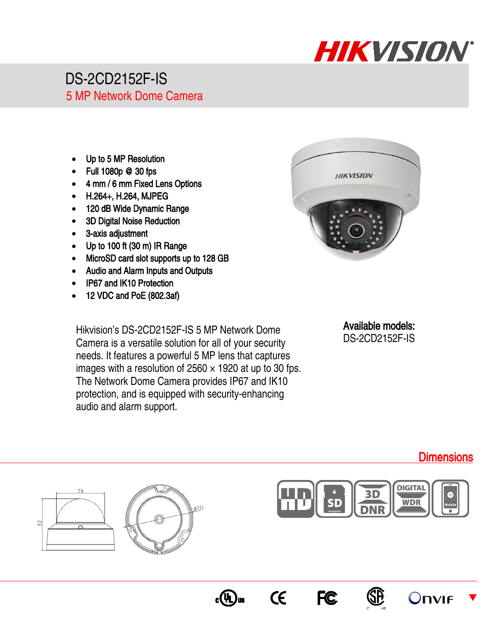

## DS-2CD2152F-IS 5 MP Network Dome Camera

- Up to 5 MP Resolution
- Full 1080p @ 30 fps
- 4 mm / 6 mm Fixed Lens Options
- H.264+, H.264, MJPEG
- 120 dB Wide Dynamic Range
- 3D Digital Noise Reduction
- 3-axis adjustment

70

- Up to 100 ft (30 m) IR Range
- MicroSD card slot supports up to 128 GB
- Audio and Alarm Inputs and Outputs
- IP67 and IK10 Protection
- 12 VDC and PoE (802.3af)

Hikvision's DS-2CD2152F-IS 5 MP Network Dome Camera is a versatile solution for all of your security needs. It features a powerful 5 MP lens that captures images with a resolution of  $2560 \times 1920$  at up to 30 fps. The Network Dome Camera provides IP67 and IK10 protection, and is equipped with security-enhancing audio and alarm support.

011



Available models: DS-2CD2152F-IS







 $\epsilon$ 

 $_{\rm c}(\mathrm{\Psi L})$ us